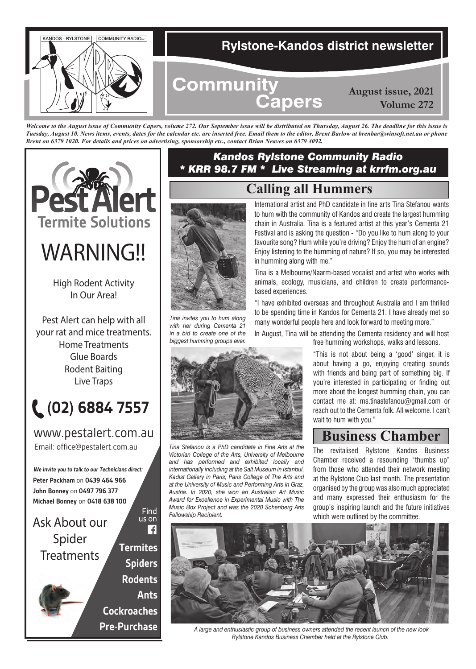

# **Rylstone-Kandos district newsletter**

# **Community Capers August issue, 2021**

# **Volume 272**

*Welcome to the August issue of Community Capers, volume 272. Our September issue will be distributed on Thursday, August 26. The deadline for this issue is Tuesday, August 10. News items, events, dates for the calendar etc. are inserted free. Email them to the editor, Brent Barlow at brenbar@winsoft.net.au or phone Brent on 6379 1020. For details and prices on advertising, sponsorship etc., contact Brian Neaves on 6379 4092.*



# *WARNING!!*

High Rodent Activity In Our Area!

Pest Alert can help with all your rat and mice treatments. Home Treatments Glue Boards Rodent Baiting Live Traps



Email: office@pestalert.com.au www.pestalert.com.au

**We invite you to talk to our Technicians direct:**

**Peter Packham** on **0439 464 966 John Bonney** on **0497 796 377 Michael Bonney** on **0418 638 100**

Find us on *Ask About our*  ١£ *Spider*  **Termites** *Treatments* **Spiders Rodents Ants Cockroaches Pre-Purchase**

#### *Kandos Rylstone Community Radio \* KRR 98.7 FM \* Live Streaming at krrfm.org.au*

# **Calling all Hummers**



*Tina invites you to hum along with her during Cementa 21 in a bid to create one of the biggest humming groups ever.*



*Tina Stefanou is a PhD candidate in Fine Arts at the Victorian College of the Arts, University of Melbourne and has performed and exhibited locally and internationally including at the Salt Museum in Istanbul, Kadist Gallery in Paris, Paris College of The Arts and at the University of Music and Performing Arts in Graz, Austria. In 2020, she won an Australian Art Music Award for Excellence in Experimental Music with The Music Box Project and was the 2020 Schenberg Arts Fellowship Recipient.*

International artist and PhD candidate in fine arts Tina Stefanou wants to hum with the community of Kandos and create the largest humming chain in Australia. Tina is a featured artist at this year's Cementa 21 Festival and is asking the question - "Do you like to hum along to your favourite song? Hum while you're driving? Enjoy the hum of an engine? Enjoy listening to the humming of nature? If so, you may be interested in humming along with me."

Tina is a Melbourne/Naarm-based vocalist and artist who works with animals, ecology, musicians, and children to create performancebased experiences.

"I have exhibited overseas and throughout Australia and I am thrilled to be spending time in Kandos for Cementa 21. I have already met so many wonderful people here and look forward to meeting more."

In August, Tina will be attending the Cementa residency and will host free humming workshops, walks and lessons.

> "This is not about being a 'good' singer, it is about having a go, enjoying creating sounds with friends and being part of something big. If you're interested in participating or finding out more about the longest humming chain, you can contact me at: ms.tinastefanou@gmail.com or reach out to the Cementa folk. All welcome. I can't wait to hum with you."

# **Business Chamber**

The revitalised Rylstone Kandos Business Chamber received a resounding "thumbs up" from those who attended their network meeting at the Rylstone Club last month. The presentation organised by the group was also much appreciated and many expressed their enthusiasm for the group's inspiring launch and the future initiatives which were outlined by the committee.



 *A large and enthusiastic group of business owners attended the recent launch of the new look Rylstone Kandos Business Chamber held at the Rylstone Club.*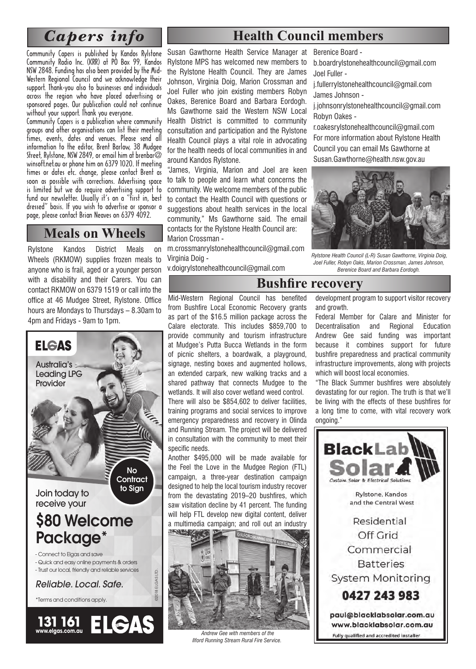# *Capers info*

Community Capers is published by Kandos Rylstone Community Radio Inc. (KRR) at PO Box 99, Kandos NSW 2848. Funding has also been provided by the Mid-Western Regional Council and we acknowledge their support. Thank-you also to businesses and individuals across the region who have placed advertising or sponsored pages. Our publication could not continue without your support. Thank you everyone.

Community Capers is a publication where community groups and other organisations can list their meeting times, events, dates and venues. Please send all information to the editor, Brent Barlow, 38 Mudgee Street, Rylstone, NSW 2849, or email him at brenbar@ winsoft.net.au or phone him on 6379 1020. If meeting times or dates etc. change, please contact Brent as soon as possible with corrections. Advertising space is limited but we do require advertising support to fund our newsletter. Usually it's on a "first in, best dressed" basis. If you wish to advertise or sponsor a page, please contact Brian Neaves on 6379 4092.

#### **Meals on Wheels**

Rylstone Kandos District Meals on Wheels (RKMOW) supplies frozen meals to anyone who is frail, aged or a younger person with a disability and their Carers. You can contact RKMOW on 6379 1519 or call into the office at 46 Mudgee Street, Rylstone. Office hours are Mondays to Thursdays – 8.30am to 4pm and Fridays - 9am to 1pm.



# **Health Council members**

Susan Gawthorne Health Service Manager at Rylstone MPS has welcomed new members to Berenice Board -

b.boardrylstonehealthcouncil@gmail.com Joel Fuller -

j.fullerrylstonehealthcouncil@gmail.com James Johnson -

j.johnsonrylstonehealthcouncil@gmail.com Robyn Oakes -

r.oakesrylstonehealthcouncil@gmail.com For more information about Rylstone Health Council you can email Ms Gawthorne at Susan.Gawthorne@health.nsw.gov.au



 *Rylstone Health Council (L-R) Susan Gawthorne, Virginia Doig, Joel Fuller, Robyn Oaks, Marion Crossman, James Johnson, Berenice Board and Barbara Eordogh.*

#### **Bushfire recovery**

Mid-Western Regional Council has benefited from Bushfire Local Economic Recovery grants as part of the \$16.5 million package across the Calare electorate. This includes \$859,700 to provide community and tourism infrastructure at Mudgee's Putta Bucca Wetlands in the form of picnic shelters, a boardwalk, a playground, signage, nesting boxes and augmented hollows, an extended carpark, new walking tracks and a shared pathway that connects Mudgee to the wetlands. It will also cover wetland weed control. There will also be \$854,602 to deliver facilities, training programs and social services to improve emergency preparedness and recovery in Olinda and Running Stream. The project will be delivered in consultation with the community to meet their specific needs.

the Rylstone Health Council. They are James Johnson, Virginia Doig, Marion Crossman and Joel Fuller who join existing members Robyn Oakes, Berenice Board and Barbara Eordogh. Ms Gawthorne said the Western NSW Local Health District is committed to community consultation and participation and the Rylstone Health Council plays a vital role in advocating for the health needs of local communities in and

"James, Virginia, Marion and Joel are keen to talk to people and learn what concerns the community. We welcome members of the public to contact the Health Council with questions or suggestions about health services in the local community," Ms Gawthorne said. The email contacts for the Rylstone Health Council are:

m.crossmanrylstonehealthcouncil@gmail.com

v.doigrylstonehealthcouncil@gmail.com

around Kandos Rylstone.

Marion Crossman -

Virginia Doig -

Another \$495,000 will be made available for the Feel the Love in the Mudgee Region (FTL) campaign, a three-year destination campaign designed to help the local tourism industry recover from the devastating 2019–20 bushfires, which saw visitation decline by 41 percent. The funding will help FTL develop new digital content, deliver a multimedia campaign; and roll out an industry



 *Andrew Gee with members of the Ilford Running Stream Rural Fire Service.*

development program to support visitor recovery and growth.

Federal Member for Calare and Minister for Decentralisation and Regional Education Andrew Gee said funding was important because it combines support for future bushfire preparedness and practical community infrastructure improvements, along with projects which will boost local economies.

"The Black Summer bushfires were absolutely devastating for our region. The truth is that we'll be living with the effects of these bushfires for a long time to come, with vital recovery work ongoing."

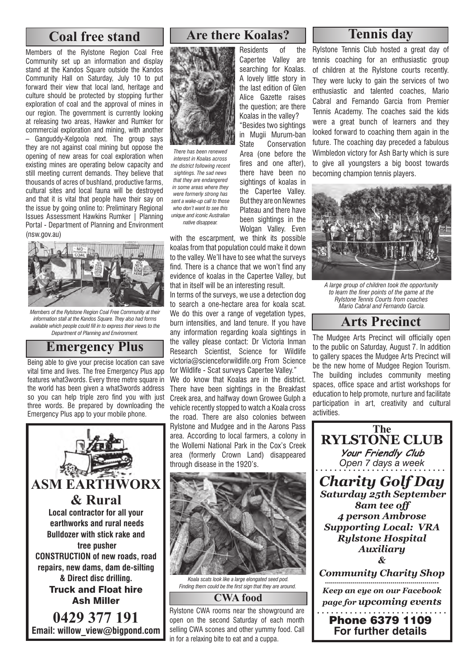Members of the Rylstone Region Coal Free Community set up an information and display stand at the Kandos Square outside the Kandos Community Hall on Saturday, July 10 to put forward their view that local land, heritage and culture should be protected by stopping further exploration of coal and the approval of mines in our region. The government is currently looking at releasing two areas, Hawker and Rumker for commercial exploration and mining, with another

– Ganguddy-Kelgoola next. The group says they are not against coal mining but oppose the opening of new areas for coal exploration when existing mines are operating below capacity and still meeting current demands. They believe that thousands of acres of bushland, productive farms, cultural sites and local fauna will be destroyed and that it is vital that people have their say on the issue by going online to: Preliminary Regional Issues Assessment Hawkins Rumker | Planning Portal - Department of Planning and Environment (nsw.gov.au)



*Members of the Rylstone Region Coal Free Community at their information stall at the Kandos Square. They also had forms available which people could fill in to express their views to the* 

### **Emergency Plus**

Being able to give your precise location can save vital time and lives. The free Emergency Plus app features what3words. Every three metre square in the world has been given a what3words address so you can help triple zero find you with just three words. Be prepared by downloading the Emergency Plus app to your mobile phone.



#### **Coal free stand Are there Koalas?**

Residents of the Capertee Valley are searching for Koalas. A lovely little story in the last edition of Glen Alice Gazette raises the question; are there Koalas in the valley? "Besides two sightings in Mugii Murum-ban<br>State Conservation Conservation

Area (one before the fires and one after), there have been no sightings of koalas in the Capertee Valley. But they are on Newnes Plateau and there have been sightings in the Wolgan Valley. Even



*There has been renewed interest in Koalas across the district following recent sightings. The sad news that they are endangered in some areas where they were formerly strong has sent a wake-up call to those who don't want to see this unique and iconic Australian native disappear.*

with the escarpment, we think its possible koalas from that population could make it down to the valley. We'll have to see what the surveys find. There is a chance that we won't find any evidence of koalas in the Capertee Valley, but that in itself will be an interesting result.

In terms of the surveys, we use a detection dog to search a one-hectare area for koala scat. We do this over a range of vegetation types, burn intensities, and land tenure. If you have any information regarding koala sightings in the valley please contact: Dr Victoria Inman Research Scientist, Science for Wildlife victoria@scienceforwildlife.org From Science for Wildlife - Scat surveys Capertee Valley."

We do know that Koalas are in the district. There have been sightings in the Breakfast Creek area, and halfway down Growee Gulph a vehicle recently stopped to watch a Koala cross the road. There are also colonies between Rylstone and Mudgee and in the Aarons Pass area. According to local farmers, a colony in the Wollemi National Park in the Cox's Creek area (formerly Crown Land) disappeared through disease in the 1920's.



 *Koala scats look like a large elongated seed pod. Finding them could be the first sign that they are around.*

#### **CWA food**

Rylstone CWA rooms near the showground are open on the second Saturday of each month selling CWA scones and other yummy food. Call in for a relaxing bite to eat and a cuppa.

#### **Tennis day**

Rylstone Tennis Club hosted a great day of tennis coaching for an enthusiastic group of children at the Rylstone courts recently. They were lucky to gain the services of two enthusiastic and talented coaches, Mario Cabral and Fernando Garcia from Premier Tennis Academy. The coaches said the kids were a great bunch of learners and they looked forward to coaching them again in the future. The coaching day preceded a fabulous Wimbledon victory for Ash Barty which is sure to give all youngsters a big boost towards becoming champion tennis players.



*A large group of children took the opportunity to learn the finer points of the game at the Rylstone Tennis Courts from coaches Mario Cabral and Fernando Garcia.*

#### **Arts Precinct**

The Mudgee Arts Precinct will officially open to the public on Saturday, August 7. In addition to gallery spaces the Mudgee Arts Precinct will be the new home of Mudgee Region Tourism. The building includes community meeting spaces, office space and artist workshops for education to help promote, nurture and facilitate participation in art, creativity and cultural activities.

**The RYLSTONE CLUB Your Friendly Club** *Open 7 days a week Charity Golf Day Saturday 25th September 8am tee off 4 person Ambrose Supporting Local: VRA Rylstone Hospital Auxiliary & Community Charity Shop ………………………………….…………….. Keep an eye on our Facebook page for upcoming events* . . . . . . . . . . . . . . . . Phone 6379 1109 **For further details**